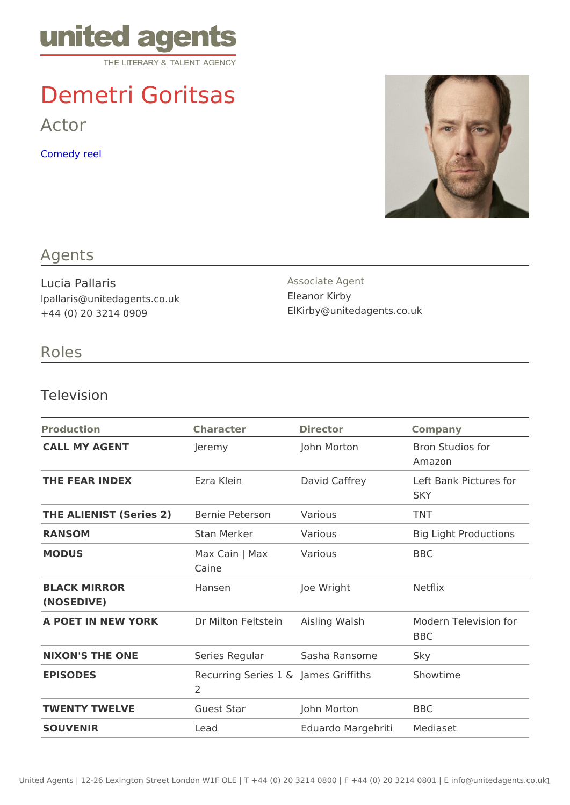# Demetri Goritsas

Actor

[Comedy r](https://vimeo.com/57088309)eel

## Agents

Lucia Pallaris lpallaris@unitedagents.co.uk +44 (0) 20 3214 0909

Associate Agent Eleanor Kirby ElKirby@unitedagents.co.uk

### Roles

#### Television

| Production                                       | Character                       | Director                                | Company                             |
|--------------------------------------------------|---------------------------------|-----------------------------------------|-------------------------------------|
| CALL MY AGENT                                    | Jeremy                          | John Morton                             | Bron Studios for<br>Amazon          |
| THE FEAR INDEX                                   | Ezra Klein                      | David Caffrey                           | Left Bank Pictures for<br>SKY       |
| THE ALIENIST (Series E2e) rnie Peterson Various  |                                 |                                         | TNT                                 |
| RANSOM                                           | Stan Merker Various             |                                         | Big Light Productions               |
| MODUS                                            | Max Cain   Max Various<br>Caine |                                         | <b>BBC</b>                          |
| BLACK MIRROR<br>(NOSEDIVE)                       | Hansen                          | Joe Wright                              | Netflix                             |
| A POET IN NEW YORK Dr Milton FeltstAinling Walsh |                                 |                                         | Modern Television for<br><b>BBC</b> |
| NIXON'S THE ONE                                  |                                 | Series Regular Sasha Ransome Sky        |                                     |
| EPISODES                                         | 2                               | Recurring Seriesam&s Griffiths Showtime |                                     |
| TWENTY TWELVE                                    | Guest Star                      | John Morton                             | <b>BBC</b>                          |
| SOUVENIR                                         | Lead                            | Eduardo MargehrMtediaset                |                                     |
|                                                  |                                 |                                         |                                     |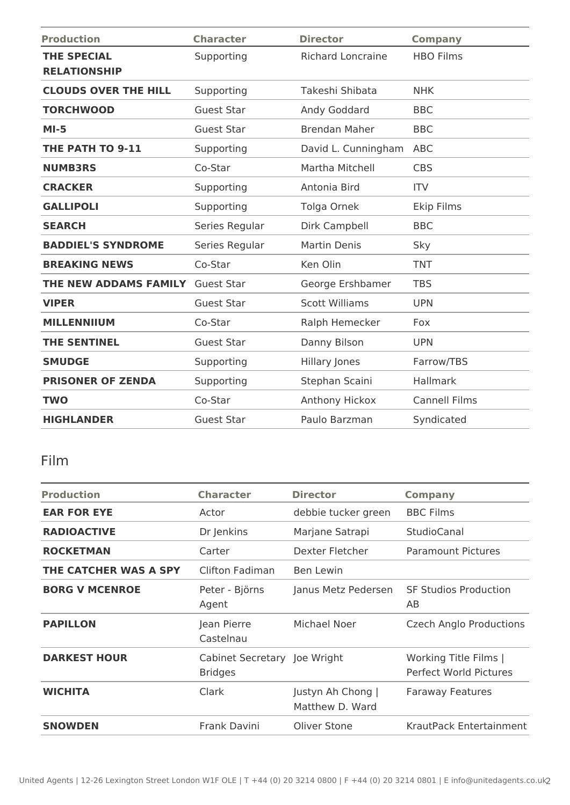| <b>Production</b>                         | <b>Character</b>  | <b>Director</b>          | <b>Company</b>       |
|-------------------------------------------|-------------------|--------------------------|----------------------|
| <b>THE SPECIAL</b><br><b>RELATIONSHIP</b> | Supporting        | <b>Richard Loncraine</b> | <b>HBO Films</b>     |
| <b>CLOUDS OVER THE HILL</b>               | Supporting        | Takeshi Shibata          | <b>NHK</b>           |
| <b>TORCHWOOD</b>                          | <b>Guest Star</b> | Andy Goddard             | <b>BBC</b>           |
| $MI-5$                                    | <b>Guest Star</b> | <b>Brendan Maher</b>     | <b>BBC</b>           |
| THE PATH TO 9-11                          | Supporting        | David L. Cunningham      | <b>ABC</b>           |
| <b>NUMB3RS</b>                            | Co-Star           | Martha Mitchell          | <b>CBS</b>           |
| <b>CRACKER</b>                            | Supporting        | Antonia Bird             | <b>ITV</b>           |
| <b>GALLIPOLI</b>                          | Supporting        | Tolga Ornek              | <b>Ekip Films</b>    |
| <b>SEARCH</b>                             | Series Regular    | Dirk Campbell            | <b>BBC</b>           |
| <b>BADDIEL'S SYNDROME</b>                 | Series Regular    | <b>Martin Denis</b>      | Sky                  |
| <b>BREAKING NEWS</b>                      | Co-Star           | Ken Olin                 | <b>TNT</b>           |
| THE NEW ADDAMS FAMILY                     | <b>Guest Star</b> | George Ershbamer         | <b>TBS</b>           |
| <b>VIPER</b>                              | <b>Guest Star</b> | <b>Scott Williams</b>    | <b>UPN</b>           |
| <b>MILLENNIIUM</b>                        | Co-Star           | Ralph Hemecker           | Fox                  |
| <b>THE SENTINEL</b>                       | <b>Guest Star</b> | Danny Bilson             | <b>UPN</b>           |
| <b>SMUDGE</b>                             | Supporting        | Hillary Jones            | Farrow/TBS           |
| <b>PRISONER OF ZENDA</b>                  | Supporting        | Stephan Scaini           | <b>Hallmark</b>      |
| <b>TWO</b>                                | Co-Star           | Anthony Hickox           | <b>Cannell Films</b> |
| <b>HIGHLANDER</b>                         | <b>Guest Star</b> | Paulo Barzman            | Syndicated           |

## Film

| <b>Production</b>     | <b>Character</b>                               | <b>Director</b>                      | <b>Company</b>                                  |
|-----------------------|------------------------------------------------|--------------------------------------|-------------------------------------------------|
| <b>EAR FOR EYE</b>    | Actor                                          | debbie tucker green                  | <b>BBC Films</b>                                |
| <b>RADIOACTIVE</b>    | Dr Jenkins                                     | Marjane Satrapi                      | StudioCanal                                     |
| <b>ROCKETMAN</b>      | Carter                                         | Dexter Fletcher                      | <b>Paramount Pictures</b>                       |
| THE CATCHER WAS A SPY | Clifton Fadiman                                | Ben Lewin                            |                                                 |
| <b>BORG V MCENROE</b> | Peter - Björns<br>Agent                        | Janus Metz Pedersen                  | <b>SF Studios Production</b><br>AB              |
| <b>PAPILLON</b>       | Jean Pierre<br>Castelnau                       | Michael Noer                         | <b>Czech Anglo Productions</b>                  |
| <b>DARKEST HOUR</b>   | Cabinet Secretary Joe Wright<br><b>Bridges</b> |                                      | Working Title Films  <br>Perfect World Pictures |
| <b>WICHITA</b>        | Clark                                          | Justyn Ah Chong  <br>Matthew D. Ward | <b>Faraway Features</b>                         |
| <b>SNOWDEN</b>        | Frank Davini                                   | Oliver Stone                         | KrautPack Entertainment                         |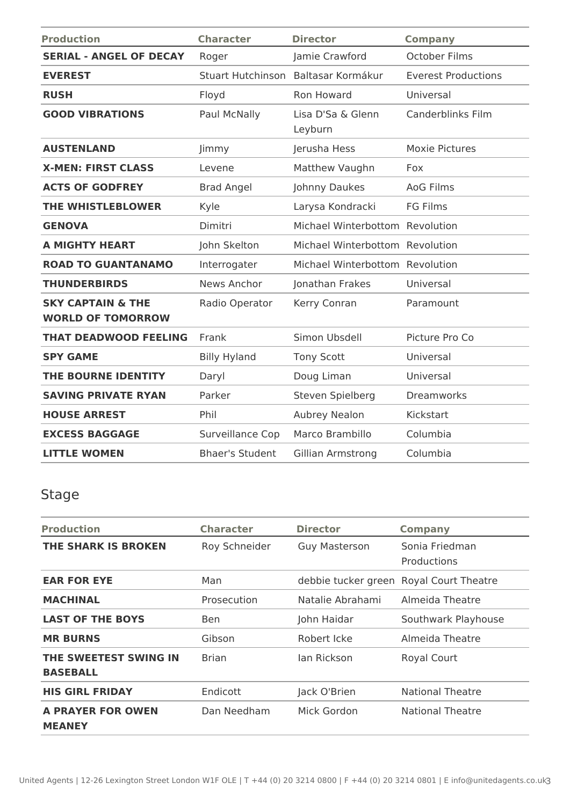| <b>Production</b>                                        | <b>Character</b>         | <b>Director</b>                 | <b>Company</b>             |
|----------------------------------------------------------|--------------------------|---------------------------------|----------------------------|
| <b>SERIAL - ANGEL OF DECAY</b>                           | Roger                    | Jamie Crawford                  | October Films              |
| <b>EVEREST</b>                                           | <b>Stuart Hutchinson</b> | Baltasar Kormákur               | <b>Everest Productions</b> |
| <b>RUSH</b>                                              | Floyd                    | Ron Howard                      | Universal                  |
| <b>GOOD VIBRATIONS</b>                                   | Paul McNally             | Lisa D'Sa & Glenn<br>Leyburn    | Canderblinks Film          |
| <b>AUSTENLAND</b>                                        | Jimmy                    | Jerusha Hess                    | <b>Moxie Pictures</b>      |
| <b>X-MEN: FIRST CLASS</b>                                | Levene                   | Matthew Vaughn                  | Fox                        |
| <b>ACTS OF GODFREY</b>                                   | <b>Brad Angel</b>        | Johnny Daukes                   | AoG Films                  |
| THE WHISTLEBLOWER                                        | Kyle                     | Larysa Kondracki                | FG Films                   |
| <b>GENOVA</b>                                            | Dimitri                  | Michael Winterbottom Revolution |                            |
| <b>A MIGHTY HEART</b>                                    | John Skelton             | Michael Winterbottom Revolution |                            |
| <b>ROAD TO GUANTANAMO</b>                                | Interrogater             | Michael Winterbottom Revolution |                            |
| <b>THUNDERBIRDS</b>                                      | News Anchor              | Jonathan Frakes                 | Universal                  |
| <b>SKY CAPTAIN &amp; THE</b><br><b>WORLD OF TOMORROW</b> | Radio Operator           | Kerry Conran                    | Paramount                  |
| <b>THAT DEADWOOD FEELING</b>                             | Frank                    | Simon Ubsdell                   | Picture Pro Co             |
| <b>SPY GAME</b>                                          | <b>Billy Hyland</b>      | <b>Tony Scott</b>               | Universal                  |
| THE BOURNE IDENTITY                                      | Daryl                    | Doug Liman                      | Universal                  |
| <b>SAVING PRIVATE RYAN</b>                               | Parker                   | Steven Spielberg                | <b>Dreamworks</b>          |
| <b>HOUSE ARREST</b>                                      | Phil                     | Aubrey Nealon                   | Kickstart                  |
| <b>EXCESS BAGGAGE</b>                                    | Surveillance Cop         | Marco Brambillo                 | Columbia                   |
| <b>LITTLE WOMEN</b>                                      | <b>Bhaer's Student</b>   | <b>Gillian Armstrong</b>        | Columbia                   |

# Stage

| <b>Production</b>                         | <b>Character</b> | <b>Director</b>      | <b>Company</b>                          |
|-------------------------------------------|------------------|----------------------|-----------------------------------------|
| <b>THE SHARK IS BROKEN</b>                | Roy Schneider    | <b>Guy Masterson</b> | Sonia Friedman<br>Productions           |
| <b>EAR FOR EYE</b>                        | Man              |                      | debbie tucker green Royal Court Theatre |
| <b>MACHINAL</b>                           | Prosecution      | Natalie Abrahami     | Almeida Theatre                         |
| <b>LAST OF THE BOYS</b>                   | <b>Ben</b>       | John Haidar          | Southwark Playhouse                     |
| <b>MR BURNS</b>                           | Gibson           | Robert Icke          | Almeida Theatre                         |
| THE SWEETEST SWING IN<br><b>BASEBALL</b>  | <b>Brian</b>     | lan Rickson          | <b>Royal Court</b>                      |
| <b>HIS GIRL FRIDAY</b>                    | Endicott         | Jack O'Brien         | <b>National Theatre</b>                 |
| <b>A PRAYER FOR OWEN</b><br><b>MEANEY</b> | Dan Needham      | Mick Gordon          | National Theatre                        |